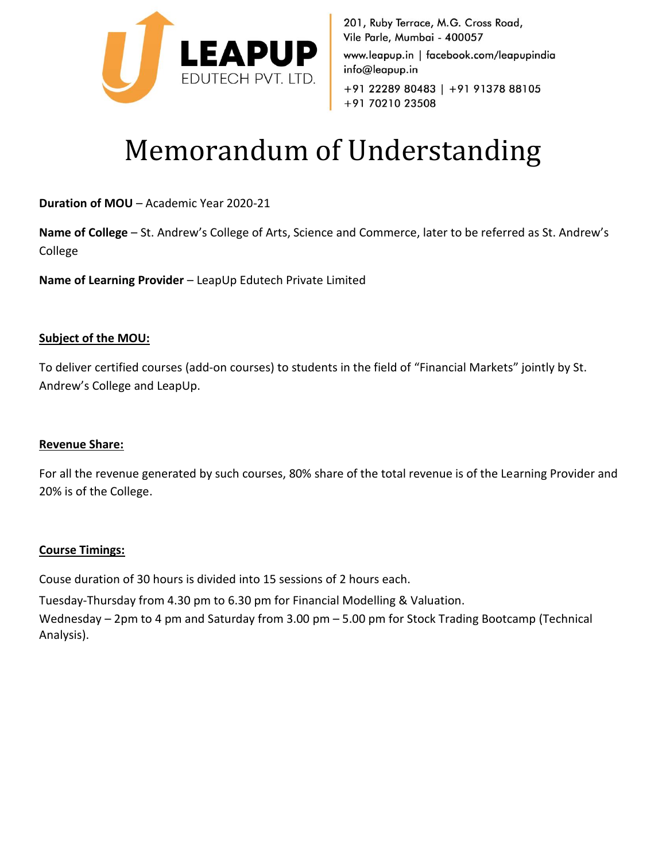

201, Ruby Terrace, M.G. Cross Road, Vile Parle, Mumbai - 400057 www.leapup.in | facebook.com/leapupindia info@leapup.in +91 22289 80483 | +91 91378 88105 +91 70210 23508

# Memorandum of Understanding

**Duration of MOU** – Academic Year 2020-21

**Name of College** – St. Andrew's College of Arts, Science and Commerce, later to be referred as St. Andrew's College

**Name of Learning Provider** – LeapUp Edutech Private Limited

## **Subject of the MOU:**

To deliver certified courses (add-on courses) to students in the field of "Financial Markets" jointly by St. Andrew's College and LeapUp.

### **Revenue Share:**

For all the revenue generated by such courses, 80% share of the total revenue is of the Learning Provider and 20% is of the College.

### **Course Timings:**

Couse duration of 30 hours is divided into 15 sessions of 2 hours each.

Tuesday-Thursday from 4.30 pm to 6.30 pm for Financial Modelling & Valuation.

Wednesday – 2pm to 4 pm and Saturday from 3.00 pm – 5.00 pm for Stock Trading Bootcamp (Technical Analysis).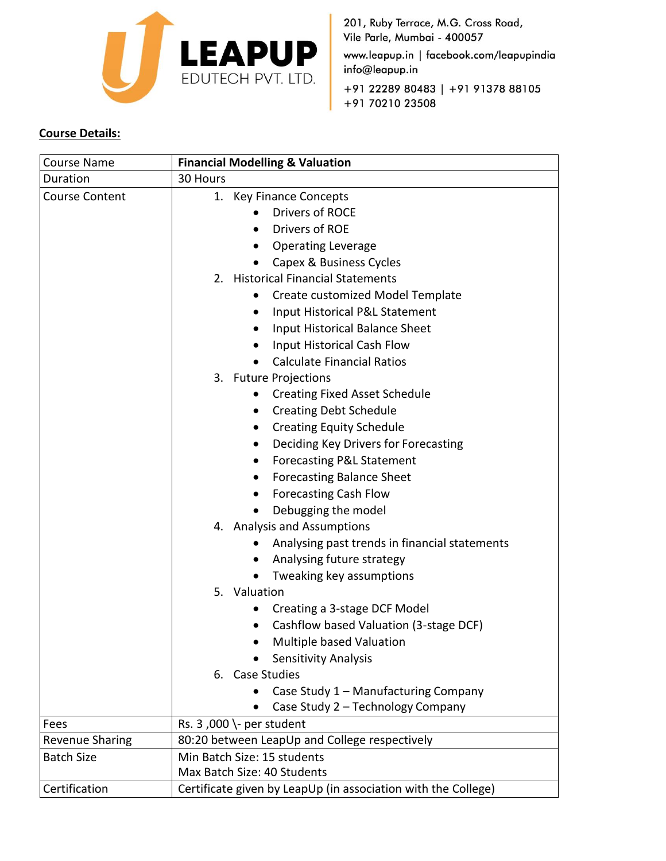

201, Ruby Terrace, M.G. Cross Road, Vile Parle, Mumbai - 400057 www.leapup.in | facebook.com/leapupindia info@leapup.in +91 22289 80483 | +91 91378 88105

# +91 70210 23508

# **Course Details:**

| <b>Course Name</b>     | <b>Financial Modelling &amp; Valuation</b>                    |
|------------------------|---------------------------------------------------------------|
| Duration               | 30 Hours                                                      |
| <b>Course Content</b>  | 1. Key Finance Concepts                                       |
|                        | <b>Drivers of ROCE</b>                                        |
|                        | Drivers of ROE                                                |
|                        | <b>Operating Leverage</b>                                     |
|                        | Capex & Business Cycles                                       |
|                        | 2. Historical Financial Statements                            |
|                        | Create customized Model Template                              |
|                        | Input Historical P&L Statement<br>$\bullet$                   |
|                        | Input Historical Balance Sheet                                |
|                        | Input Historical Cash Flow                                    |
|                        | <b>Calculate Financial Ratios</b>                             |
|                        | 3. Future Projections                                         |
|                        | <b>Creating Fixed Asset Schedule</b>                          |
|                        | <b>Creating Debt Schedule</b><br>$\bullet$                    |
|                        | <b>Creating Equity Schedule</b>                               |
|                        | Deciding Key Drivers for Forecasting                          |
|                        | <b>Forecasting P&amp;L Statement</b>                          |
|                        | <b>Forecasting Balance Sheet</b>                              |
|                        | <b>Forecasting Cash Flow</b>                                  |
|                        | Debugging the model                                           |
|                        | 4. Analysis and Assumptions                                   |
|                        | Analysing past trends in financial statements                 |
|                        | Analysing future strategy                                     |
|                        | Tweaking key assumptions                                      |
|                        | 5. Valuation                                                  |
|                        | Creating a 3-stage DCF Model                                  |
|                        | Cashflow based Valuation (3-stage DCF)                        |
|                        | Multiple based Valuation                                      |
|                        | <b>Sensitivity Analysis</b>                                   |
|                        | 6. Case Studies                                               |
|                        | Case Study 1 - Manufacturing Company                          |
|                        | Case Study 2 - Technology Company                             |
| Fees                   | Rs. 3,000 \- per student                                      |
| <b>Revenue Sharing</b> | 80:20 between LeapUp and College respectively                 |
| <b>Batch Size</b>      | Min Batch Size: 15 students                                   |
|                        | Max Batch Size: 40 Students                                   |
| Certification          | Certificate given by LeapUp (in association with the College) |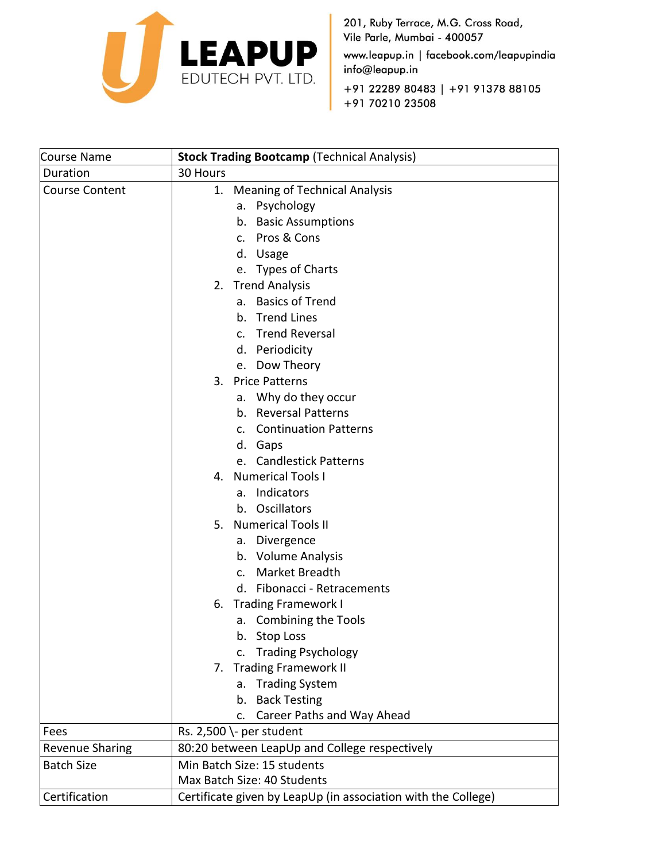

201, Ruby Terrace, M.G. Cross Road, Vile Parle, Mumbai - 400057 www.leapup.in | facebook.com/leapupindia info@leapup.in +91 22289 80483 | +91 91378 88105 +91 70210 23508

| Course Name            | <b>Stock Trading Bootcamp (Technical Analysis)</b>            |
|------------------------|---------------------------------------------------------------|
| Duration               | 30 Hours                                                      |
| <b>Course Content</b>  | <b>Meaning of Technical Analysis</b><br>1.                    |
|                        | Psychology<br>а.                                              |
|                        | <b>Basic Assumptions</b><br>b.                                |
|                        | Pros & Cons<br>$\mathsf{C}$ .                                 |
|                        | d. Usage                                                      |
|                        | e. Types of Charts                                            |
|                        | <b>Trend Analysis</b><br>2.                                   |
|                        | <b>Basics of Trend</b><br>а.                                  |
|                        | <b>Trend Lines</b><br>b.                                      |
|                        | c. Trend Reversal                                             |
|                        | d. Periodicity                                                |
|                        | e. Dow Theory                                                 |
|                        | <b>Price Patterns</b><br>3.                                   |
|                        | Why do they occur<br>а.                                       |
|                        | <b>Reversal Patterns</b><br>b.                                |
|                        | <b>Continuation Patterns</b><br>C.                            |
|                        | d. Gaps                                                       |
|                        | <b>Candlestick Patterns</b><br>e.                             |
|                        | <b>Numerical Tools I</b><br>4.                                |
|                        | Indicators<br>а.                                              |
|                        | b. Oscillators                                                |
|                        | <b>Numerical Tools II</b><br>5.                               |
|                        | Divergence<br>а.                                              |
|                        | b. Volume Analysis                                            |
|                        | Market Breadth<br>$\mathsf{C}$ .                              |
|                        | d. Fibonacci - Retracements                                   |
|                        | <b>Trading Framework I</b><br>6.                              |
|                        | a. Combining the Tools                                        |
|                        | b. Stop Loss                                                  |
|                        | <b>Trading Psychology</b><br>c.                               |
|                        | <b>Trading Framework II</b><br>7.                             |
|                        | <b>Trading System</b><br>a.                                   |
|                        | <b>Back Testing</b><br>b.                                     |
|                        | Career Paths and Way Ahead<br>c.                              |
| Fees                   | Rs. 2,500 \- per student                                      |
| <b>Revenue Sharing</b> | 80:20 between LeapUp and College respectively                 |
| <b>Batch Size</b>      | Min Batch Size: 15 students                                   |
|                        | Max Batch Size: 40 Students                                   |
| Certification          | Certificate given by LeapUp (in association with the College) |